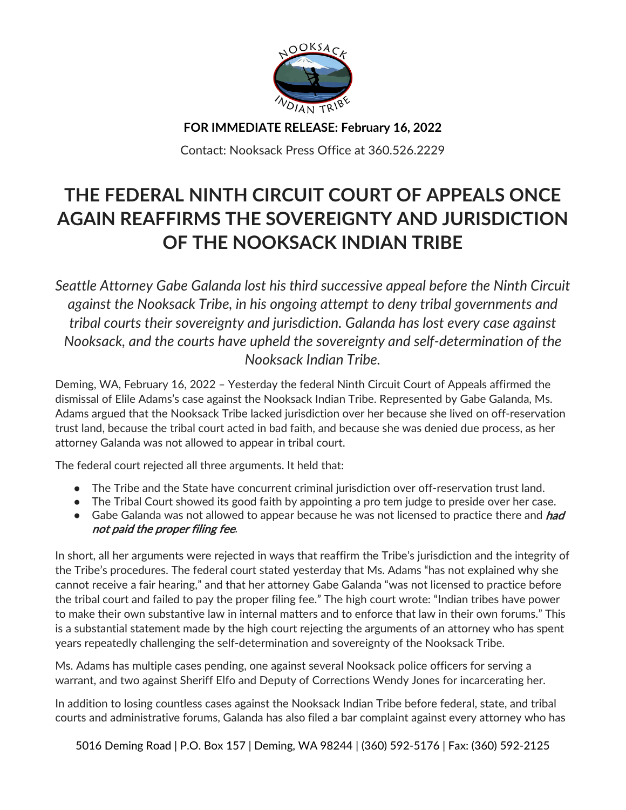

**FOR IMMEDIATE RELEASE: February 16, 2022**

Contact: Nooksack Press Office at 360.526.2229

## **THE FEDERAL NINTH CIRCUIT COURT OF APPEALS ONCE AGAIN REAFFIRMS THE SOVEREIGNTY AND JURISDICTION OF THE NOOKSACK INDIAN TRIBE**

*Seattle Attorney Gabe Galanda lost his third successive appeal before the Ninth Circuit against the Nooksack Tribe, in his ongoing attempt to deny tribal governments and tribal courts their sovereignty and jurisdiction. Galanda has lost every case against Nooksack, and the courts have upheld the sovereignty and self-determination of the Nooksack Indian Tribe.*

Deming, WA, February 16, 2022 – Yesterday the federal Ninth Circuit Court of Appeals affirmed the dismissal of Elile Adams's case against the Nooksack Indian Tribe. Represented by Gabe Galanda, Ms. Adams argued that the Nooksack Tribe lacked jurisdiction over her because she lived on off-reservation trust land, because the tribal court acted in bad faith, and because she was denied due process, as her attorney Galanda was not allowed to appear in tribal court.

The federal court rejected all three arguments. It held that:

- The Tribe and the State have concurrent criminal jurisdiction over off-reservation trust land.
- The Tribal Court showed its good faith by appointing a pro tem judge to preside over her case.
- Gabe Galanda was not allowed to appear because he was not licensed to practice there and had not paid the proper filing fee.

In short, all her arguments were rejected in ways that reaffirm the Tribe's jurisdiction and the integrity of the Tribe's procedures. The federal court stated yesterday that Ms. Adams "has not explained why she cannot receive a fair hearing," and that her attorney Gabe Galanda "was not licensed to practice before the tribal court and failed to pay the proper filing fee." The high court wrote: "Indian tribes have power to make their own substantive law in internal matters and to enforce that law in their own forums." This is a substantial statement made by the high court rejecting the arguments of an attorney who has spent years repeatedly challenging the self-determination and sovereignty of the Nooksack Tribe.

Ms. Adams has multiple cases pending, one against several Nooksack police officers for serving a warrant, and two against Sheriff Elfo and Deputy of Corrections Wendy Jones for incarcerating her.

In addition to losing countless cases against the Nooksack Indian Tribe before federal, state, and tribal courts and administrative forums, Galanda has also filed a bar complaint against every attorney who has

5016 Deming Road | P.O. Box 157 | Deming, WA 98244 | (360) 592-5176 | Fax: (360) 592-2125